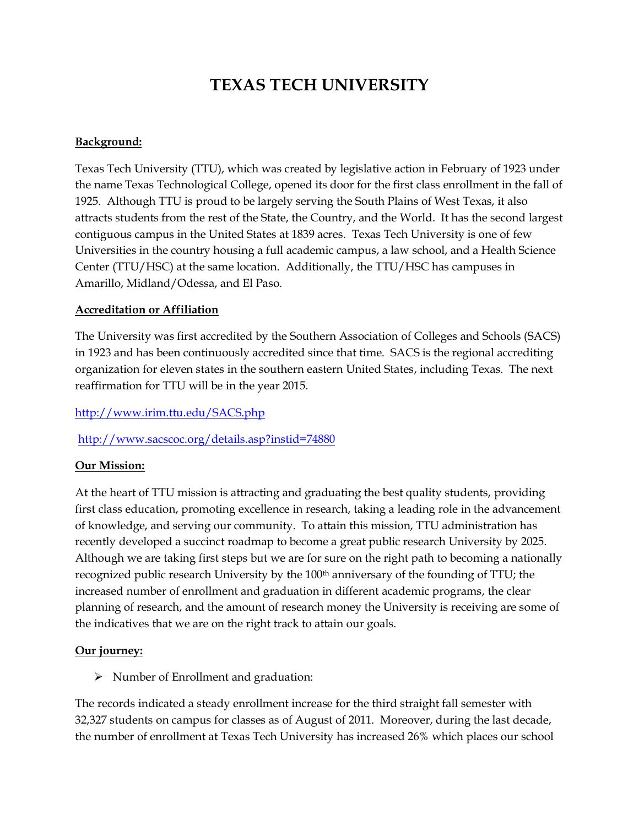# **TEXAS TECH UNIVERSITY**

# **Background:**

Texas Tech University (TTU), which was created by legislative action in February of 1923 under the name Texas Technological College, opened its door for the first class enrollment in the fall of 1925. Although TTU is proud to be largely serving the South Plains of West Texas, it also attracts students from the rest of the State, the Country, and the World. It has the second largest contiguous campus in the United States at 1839 acres. Texas Tech University is one of few Universities in the country housing a full academic campus, a law school, and a Health Science Center (TTU/HSC) at the same location. Additionally, the TTU/HSC has campuses in Amarillo, Midland/Odessa, and El Paso.

# **Accreditation or Affiliation**

The University was first accredited by the Southern Association of Colleges and Schools (SACS) in 1923 and has been continuously accredited since that time. SACS is the regional accrediting organization for eleven states in the southern eastern United States, including Texas. The next reaffirmation for TTU will be in the year 2015.

<http://www.irim.ttu.edu/SACS.php>

<http://www.sacscoc.org/details.asp?instid=74880>

# **Our Mission:**

At the heart of TTU mission is attracting and graduating the best quality students, providing first class education, promoting excellence in research, taking a leading role in the advancement of knowledge, and serving our community. To attain this mission, TTU administration has recently developed a succinct roadmap to become a great public research University by 2025. Although we are taking first steps but we are for sure on the right path to becoming a nationally recognized public research University by the 100<sup>th</sup> anniversary of the founding of TTU; the increased number of enrollment and graduation in different academic programs, the clear planning of research, and the amount of research money the University is receiving are some of the indicatives that we are on the right track to attain our goals.

# **Our journey:**

 $\triangleright$  Number of Enrollment and graduation:

The records indicated a steady enrollment increase for the third straight fall semester with 32,327 students on campus for classes as of August of 2011. Moreover, during the last decade, the number of enrollment at Texas Tech University has increased 26% which places our school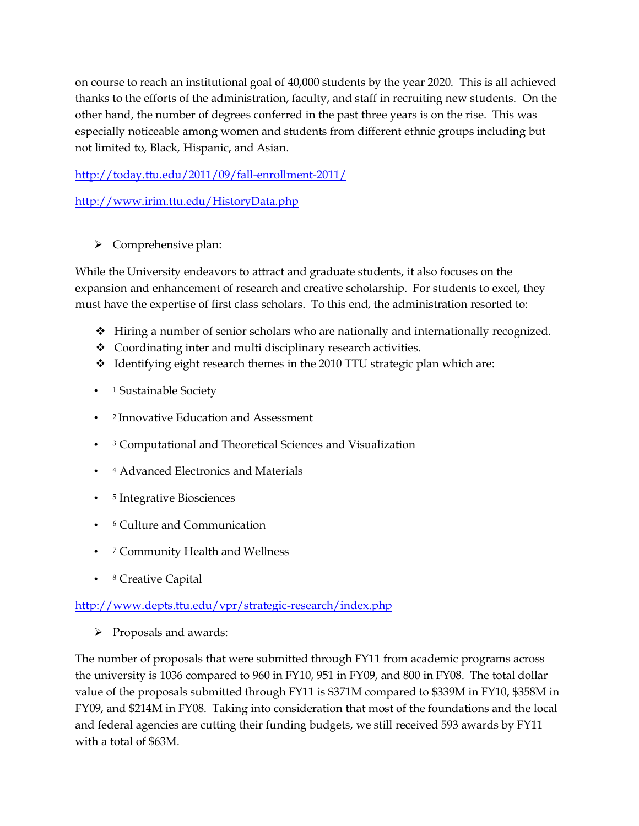on course to reach an institutional goal of 40,000 students by the year 2020. This is all achieved thanks to the efforts of the administration, faculty, and staff in recruiting new students. On the other hand, the number of degrees conferred in the past three years is on the rise. This was especially noticeable among women and students from different ethnic groups including but not limited to, Black, Hispanic, and Asian.

<http://today.ttu.edu/2011/09/fall-enrollment-2011/>

<http://www.irim.ttu.edu/HistoryData.php>

 $\triangleright$  Comprehensive plan:

While the University endeavors to attract and graduate students, it also focuses on the expansion and enhancement of research and creative scholarship. For students to excel, they must have the expertise of first class scholars. To this end, the administration resorted to:

- $\div$  Hiring a number of senior scholars who are nationally and internationally recognized.
- Coordinating inter and multi disciplinary research activities.
- $\div$  Identifying eight research themes in the 2010 TTU strategic plan which are:
- 1 Sustainable Society
- <sup>2</sup>Innovative Education and Assessment
- <sup>3</sup> Computational and Theoretical Sciences and Visualization
- <sup>4</sup> Advanced Electronics and Materials
- <sup>5</sup> Integrative Biosciences
- <sup>6</sup> Culture and Communication
- <sup>7</sup> Community Health and Wellness
- <sup>8</sup> Creative Capital

# <http://www.depts.ttu.edu/vpr/strategic-research/index.php>

 $\triangleright$  Proposals and awards:

The number of proposals that were submitted through FY11 from academic programs across the university is 1036 compared to 960 in FY10, 951 in FY09, and 800 in FY08. The total dollar value of the proposals submitted through FY11 is \$371M compared to \$339M in FY10, \$358M in FY09, and \$214M in FY08. Taking into consideration that most of the foundations and the local and federal agencies are cutting their funding budgets, we still received 593 awards by FY11 with a total of \$63M.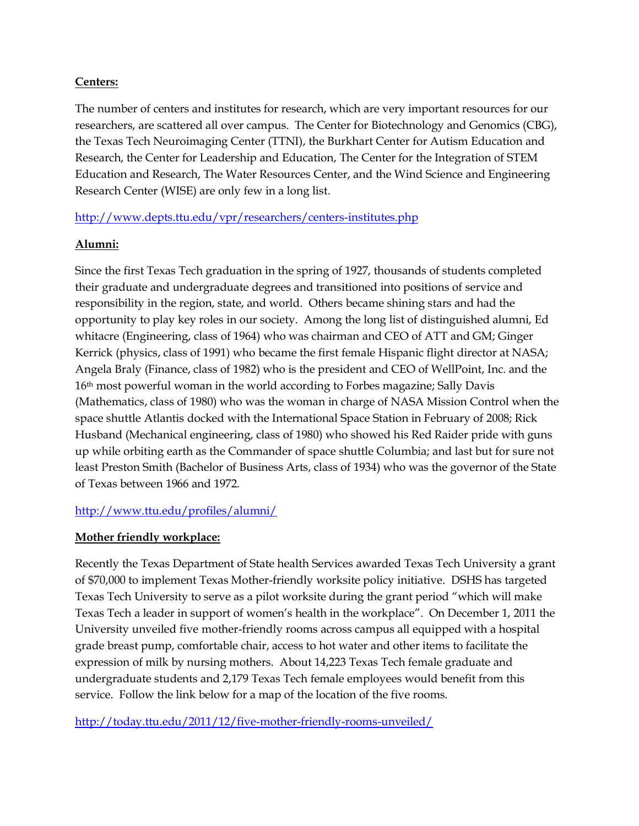## **Centers:**

The number of centers and institutes for research, which are very important resources for our researchers, are scattered all over campus. The Center for Biotechnology and Genomics (CBG), the Texas Tech Neuroimaging Center (TTNI), the Burkhart Center for Autism Education and Research, the Center for Leadership and Education, The Center for the Integration of STEM Education and Research, The Water Resources Center, and the Wind Science and Engineering Research Center (WISE) are only few in a long list.

<http://www.depts.ttu.edu/vpr/researchers/centers-institutes.php>

# **Alumni:**

Since the first Texas Tech graduation in the spring of 1927, thousands of students completed their graduate and undergraduate degrees and transitioned into positions of service and responsibility in the region, state, and world. Others became shining stars and had the opportunity to play key roles in our society. Among the long list of distinguished alumni, Ed whitacre (Engineering, class of 1964) who was chairman and CEO of ATT and GM; Ginger Kerrick (physics, class of 1991) who became the first female Hispanic flight director at NASA; Angela Braly (Finance, class of 1982) who is the president and CEO of WellPoint, Inc. and the 16th most powerful woman in the world according to Forbes magazine; Sally Davis (Mathematics, class of 1980) who was the woman in charge of NASA Mission Control when the space shuttle Atlantis docked with the International Space Station in February of 2008; Rick Husband (Mechanical engineering, class of 1980) who showed his Red Raider pride with guns up while orbiting earth as the Commander of space shuttle Columbia; and last but for sure not least Preston Smith (Bachelor of Business Arts, class of 1934) who was the governor of the State of Texas between 1966 and 1972.

# <http://www.ttu.edu/profiles/alumni/>

# **Mother friendly workplace:**

Recently the Texas Department of State health Services awarded Texas Tech University a grant of \$70,000 to implement Texas Mother-friendly worksite policy initiative. DSHS has targeted Texas Tech University to serve as a pilot worksite during the grant period "which will make Texas Tech a leader in support of women's health in the workplace". On December 1, 2011 the University unveiled five mother-friendly rooms across campus all equipped with a hospital grade breast pump, comfortable chair, access to hot water and other items to facilitate the expression of milk by nursing mothers. About 14,223 Texas Tech female graduate and undergraduate students and 2,179 Texas Tech female employees would benefit from this service. Follow the link below for a map of the location of the five rooms.

<http://today.ttu.edu/2011/12/five-mother-friendly-rooms-unveiled/>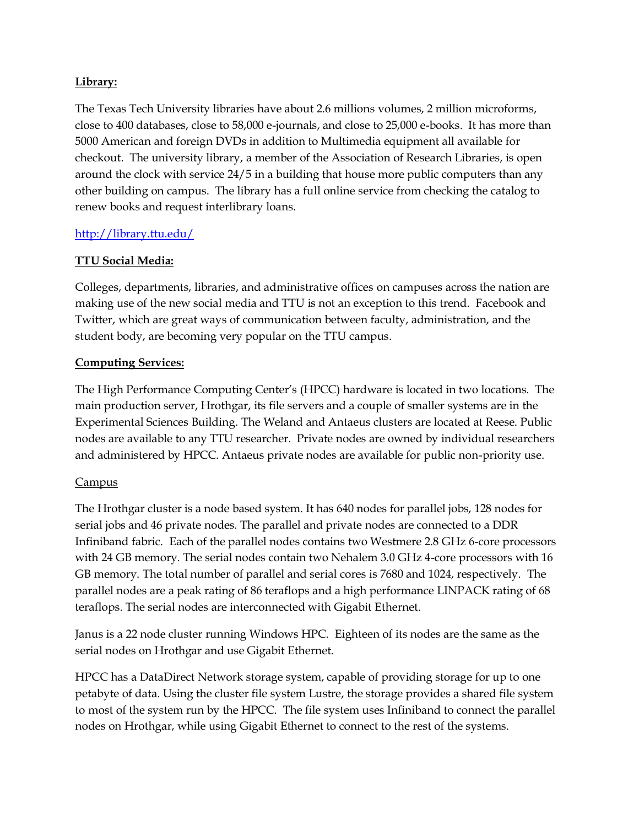# **Library:**

The Texas Tech University libraries have about 2.6 millions volumes, 2 million microforms, close to 400 databases, close to 58,000 e-journals, and close to 25,000 e-books. It has more than 5000 American and foreign DVDs in addition to Multimedia equipment all available for checkout. The university library, a member of the Association of Research Libraries, is open around the clock with service 24/5 in a building that house more public computers than any other building on campus. The library has a full online service from checking the catalog to renew books and request interlibrary loans.

# <http://library.ttu.edu/>

# **TTU Social Media:**

Colleges, departments, libraries, and administrative offices on campuses across the nation are making use of the new social media and TTU is not an exception to this trend. Facebook and Twitter, which are great ways of communication between faculty, administration, and the student body, are becoming very popular on the TTU campus.

## **Computing Services:**

The High Performance Computing Center's (HPCC) hardware is located in two locations. The main production server, Hrothgar, its file servers and a couple of smaller systems are in the Experimental Sciences Building. The Weland and Antaeus clusters are located at Reese. Public nodes are available to any TTU researcher. Private nodes are owned by individual researchers and administered by HPCC. Antaeus private nodes are available for public non-priority use.

## Campus

The Hrothgar cluster is a node based system. It has 640 nodes for parallel jobs, 128 nodes for serial jobs and 46 private nodes. The parallel and private nodes are connected to a DDR Infiniband fabric. Each of the parallel nodes contains two Westmere 2.8 GHz 6-core processors with 24 GB memory. The serial nodes contain two Nehalem 3.0 GHz 4-core processors with 16 GB memory. The total number of parallel and serial cores is 7680 and 1024, respectively. The parallel nodes are a peak rating of 86 teraflops and a high performance LINPACK rating of 68 teraflops. The serial nodes are interconnected with Gigabit Ethernet.

Janus is a 22 node cluster running Windows HPC. Eighteen of its nodes are the same as the serial nodes on Hrothgar and use Gigabit Ethernet.

HPCC has a DataDirect Network storage system, capable of providing storage for up to one petabyte of data. Using the cluster file system Lustre, the storage provides a shared file system to most of the system run by the HPCC. The file system uses Infiniband to connect the parallel nodes on Hrothgar, while using Gigabit Ethernet to connect to the rest of the systems.